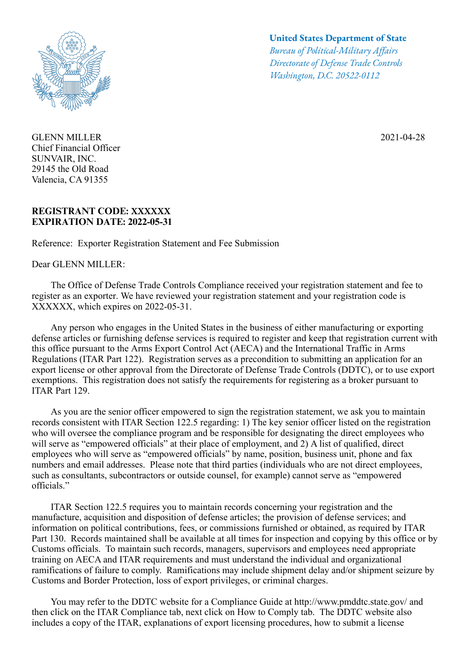

GLENN MILLER 2021-04-28 Chief Financial Officer SUNVAIR, INC. 29145 the Old Road Valencia, CA 91355

## **REGISTRANT CODE: XXXXXX EXPIRATION DATE: 2022-05-31**

Reference: Exporter Registration Statement and Fee Submission

Dear GLENN MILLER:

## **United States Department of State**

*Bureau of Political-Military Afairs Directorate of Defense Trade Controls Washington, D.C. 20522-0112*

 The Office of Defense Trade Controls Compliance received your registration statement and fee to register as an exporter. We have reviewed your registration statement and your registration code is XXXXXX, which expires on 2022-05-31.

 Any person who engages in the United States in the business of either manufacturing or exporting defense articles or furnishing defense services is required to register and keep that registration current with this office pursuant to the Arms Export Control Act (AECA) and the International Traffic in Arms Regulations (ITAR Part 122). Registration serves as a precondition to submitting an application for an export license or other approval from the Directorate of Defense Trade Controls (DDTC), or to use export exemptions. This registration does not satisfy the requirements for registering as a broker pursuant to ITAR Part 129.

 As you are the senior officer empowered to sign the registration statement, we ask you to maintain records consistent with ITAR Section 122.5 regarding: 1) The key senior officer listed on the registration who will oversee the compliance program and be responsible for designating the direct employees who will serve as "empowered officials" at their place of employment, and 2) A list of qualified, direct employees who will serve as "empowered officials" by name, position, business unit, phone and fax numbers and email addresses. Please note that third parties (individuals who are not direct employees, such as consultants, subcontractors or outside counsel, for example) cannot serve as "empowered officials."

 ITAR Section 122.5 requires you to maintain records concerning your registration and the manufacture, acquisition and disposition of defense articles; the provision of defense services; and information on political contributions, fees, or commissions furnished or obtained, as required by ITAR Part 130. Records maintained shall be available at all times for inspection and copying by this office or by Customs officials. To maintain such records, managers, supervisors and employees need appropriate training on AECA and ITAR requirements and must understand the individual and organizational ramifications of failure to comply. Ramifications may include shipment delay and/or shipment seizure by Customs and Border Protection, loss of export privileges, or criminal charges.

 You may refer to the DDTC website for a Compliance Guide at http://www.pmddtc.state.gov/ and then click on the ITAR Compliance tab, next click on How to Comply tab. The DDTC website also includes a copy of the ITAR, explanations of export licensing procedures, how to submit a license